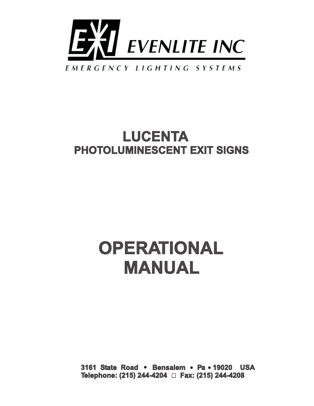

### EMERGENCY LIGHTING SYSTEMS

## **LUCENTA PHOTOLUMINESCENT EXIT SIGNS**

# **OPERATIONAL MANUAL**

**3161 State Road • Bensalem • Pa • 19020 USA Telephone: (215) 244-4204 Fax: (215) 244-4208**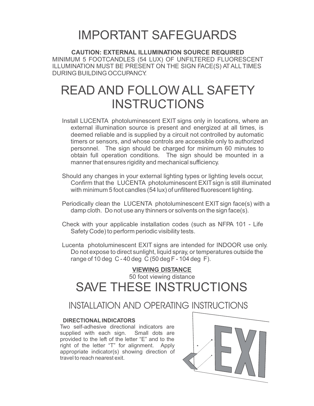## IMPORTANT SAFEGUARDS

**CAUTION: EXTERNAL ILLUMINATION SOURCE REQUIRED** MINIMUM 5 FOOTCANDLES (54 LUX) OF UNFILTERED FLUORESCENT ILLUMINATION MUST BE PRESENT ON THE SIGN FACE(S) ATALL TIMES DURING BUILDING OCCUPANCY.

## READ AND FOLLOW ALL SAFETY INSTRUCTIONS

- Install LUCENTA photoluminescent EXIT signs only in locations, where an external illumination source is present and energized at all times, is deemed reliable and is supplied by a circuit not controlled by automatic timers or sensors, and whose controls are accessible only to authorized personnel. The sign should be charged for minimum 60 minutes to obtain full operation conditions. The sign should be mounted in a manner that ensures rigidity and mechanical sufficiency.
- Should any changes in your external lighting types or lighting levels occur, Confirm that the LUCENTA photoluminescent EXITsign is still illuminated with minimum 5 foot candles (54 lux) of unfiltered fluorescent lighting.
- Periodically clean the LUCENTA photoluminescent EXIT sign face(s) with a damp cloth. Do not use any thinners or solvents on the sign face(s).
- Check with your applicable installation codes (such as NFPA 101 Life Safety Code) to perform periodic visibility tests.
- Lucenta photoluminescent EXIT signs are intended for INDOOR use only. Do not expose to direct sunlight, liquid spray, or temperatures outside the range of 10 deg C - 40 deg C (50 deg F - 104 deg F).

### **VIEWING DISTANCE** 50 foot viewing distance SAVE THESE INSTRUCTIONS

## INSTALLATION AND OPERATING INSTRUCTIONS

### **DIRECTIONAL INDICATORS**

Two self-adhesive directional indicators are supplied with each sign. Small dots are provided to the left of the letter "E" and to the right of the letter "T" for alignment. Apply appropriate indicator(s) showing direction of travel to reach nearest exit.

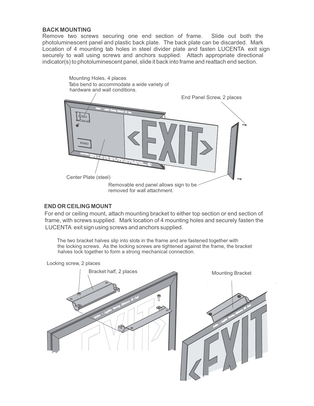#### **BACK MOUNTING**

Remove two screws securing one end section of frame. Slide out both the photoluminescent panel and plastic back plate. The back plate can be discarded. Mark Location of 4 mounting tab holes in steel divider plate and fasten LUCENTA exit sign securely to wall using screws and anchors supplied. Attach appropriate directional indicator(s) to photoluminescent panel, slide it back into frame and reattach end section.



#### **END OR CEILING MOUNT**

For end or ceiling mount, attach mounting bracket to either top section or end section of frame, with screws supplied. Mark location of 4 mounting holes and securely fasten the LUCENTA exit sign using screws and anchors supplied.

The two bracket halves slip into slots in the frame and are fastened together with the locking screws. As the locking screws are tightened against the frame, the bracket halves lock together to form a strong mechanical connection.